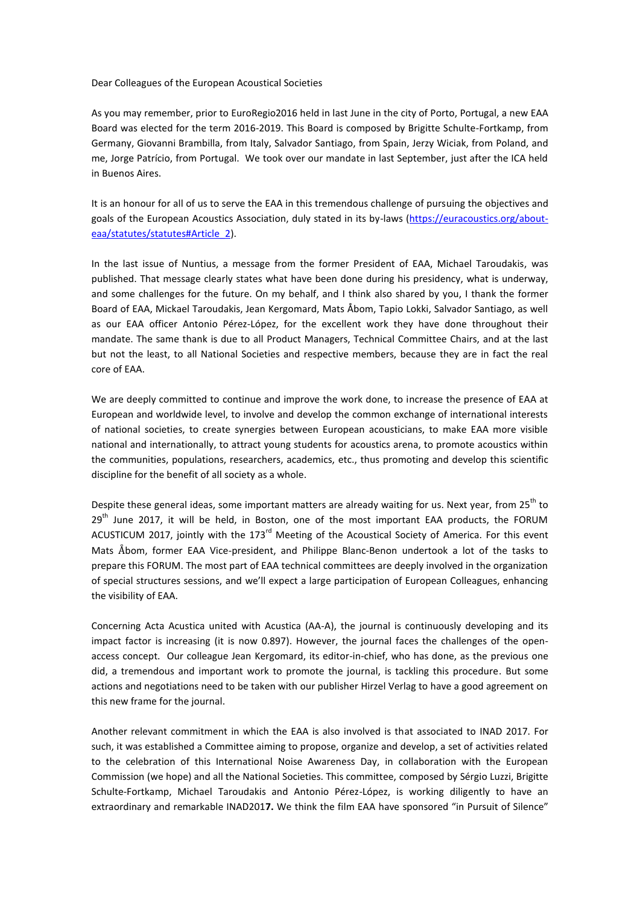Dear Colleagues of the European Acoustical Societies

As you may remember, prior to EuroRegio2016 held in last June in the city of Porto, Portugal, a new EAA Board was elected for the term 2016-2019. This Board is composed by Brigitte Schulte-Fortkamp, from Germany, Giovanni Brambilla, from Italy, Salvador Santiago, from Spain, Jerzy Wiciak, from Poland, and me, Jorge Patrício, from Portugal. We took over our mandate in last September, just after the ICA held in Buenos Aires.

It is an honour for all of us to serve the EAA in this tremendous challenge of pursuing the objectives and goals of the European Acoustics Association, duly stated in its by-laws [\(https://euracoustics.org/about](https://euracoustics.org/about-eaa/statutes/statutes#Article_2)[eaa/statutes/statutes#Article\\_2\)](https://euracoustics.org/about-eaa/statutes/statutes#Article_2).

In the last issue of Nuntius, a message from the former President of EAA, Michael Taroudakis, was published. That message clearly states what have been done during his presidency, what is underway, and some challenges for the future. On my behalf, and I think also shared by you, I thank the former Board of EAA, Mickael Taroudakis, Jean Kergomard, Mats Åbom, Tapio Lokki, Salvador Santiago, as well as our EAA officer Antonio Pérez-López, for the excellent work they have done throughout their mandate. The same thank is due to all Product Managers, Technical Committee Chairs, and at the last but not the least, to all National Societies and respective members, because they are in fact the real core of EAA.

We are deeply committed to continue and improve the work done, to increase the presence of EAA at European and worldwide level, to involve and develop the common exchange of international interests of national societies, to create synergies between European acousticians, to make EAA more visible national and internationally, to attract young students for acoustics arena, to promote acoustics within the communities, populations, researchers, academics, etc., thus promoting and develop this scientific discipline for the benefit of all society as a whole.

Despite these general ideas, some important matters are already waiting for us. Next year, from 25<sup>th</sup> to  $29<sup>th</sup>$  June 2017, it will be held, in Boston, one of the most important EAA products, the FORUM ACUSTICUM 2017, jointly with the 173<sup>rd</sup> Meeting of the Acoustical Society of America. For this event Mats Åbom, former EAA Vice-president, and Philippe Blanc-Benon undertook a lot of the tasks to prepare this FORUM. The most part of EAA technical committees are deeply involved in the organization of special structures sessions, and we'll expect a large participation of European Colleagues, enhancing the visibility of EAA.

Concerning Acta Acustica united with Acustica (AA-A), the journal is continuously developing and its impact factor is increasing (it is now 0.897). However, the journal faces the challenges of the openaccess concept. Our colleague Jean Kergomard, its editor-in-chief, who has done, as the previous one did, a tremendous and important work to promote the journal, is tackling this procedure. But some actions and negotiations need to be taken with our publisher Hirzel Verlag to have a good agreement on this new frame for the journal.

Another relevant commitment in which the EAA is also involved is that associated to INAD 2017. For such, it was established a Committee aiming to propose, organize and develop, a set of activities related to the celebration of this International Noise Awareness Day, in collaboration with the European Commission (we hope) and all the National Societies. This committee, composed by Sérgio Luzzi, Brigitte Schulte-Fortkamp, Michael Taroudakis and Antonio Pérez-López, is working diligently to have an extraordinary and remarkable INAD201**7.** We think the film EAA have sponsored "in Pursuit of Silence"